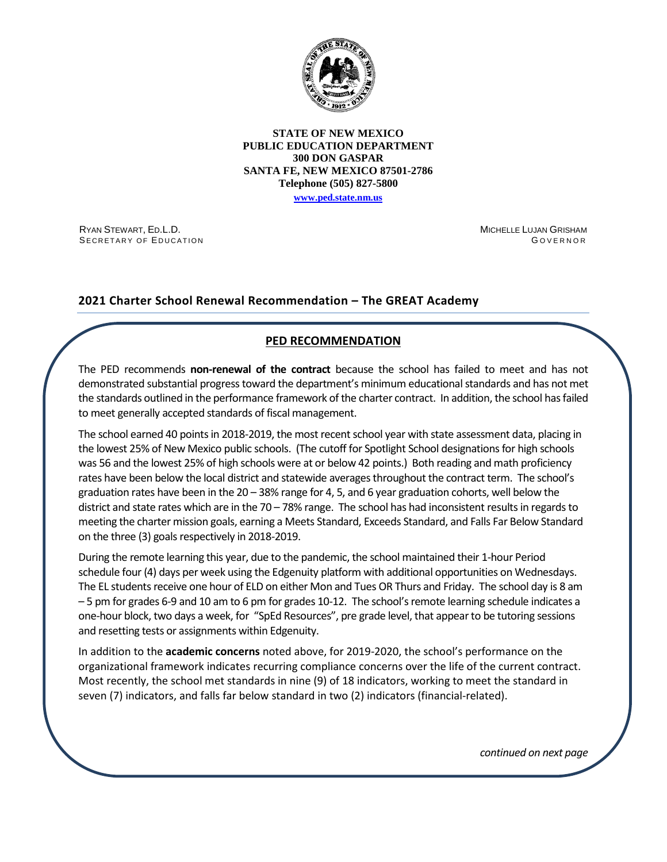

#### **STATE OF NEW MEXICO PUBLIC EDUCATION DEPARTMENT 300 DON GASPAR SANTA FE, NEW MEXICO 87501-2786 Telephone (505) 827-5800**

**[www.ped.state.nm.us](http://webnew.ped.state.nm.us/)**

RYAN STEWART, ED.L.D. SECRETARY OF EDUCATION MICHELLE LUJAN GRISHAM G OVERNOR

# **2021 Charter School Renewal Recommendation – The GREAT Academy**

# **PED RECOMMENDATION**

The PED recommends **non-renewal of the contract** because the school has failed to meet and has not demonstrated substantial progress toward the department's minimum educational standards and has not met the standards outlined in the performance framework of the charter contract. In addition, the school has failed to meet generally accepted standards of fiscal management.

The school earned 40 points in 2018-2019, the most recent school year with state assessment data, placing in the lowest 25% of New Mexico public schools. (The cutoff for Spotlight School designations for high schools was 56 and the lowest 25% of high schools were at or below 42 points.) Both reading and math proficiency rates have been below the local district and statewide averages throughout the contract term. The school's graduation rates have been in the 20 – 38% range for 4, 5, and 6 year graduation cohorts, well below the district and state rates which are in the 70 – 78% range. The school has had inconsistent results in regards to meeting the charter mission goals, earning a Meets Standard, Exceeds Standard, and Falls Far Below Standard on the three (3) goals respectively in 2018-2019.

During the remote learning this year, due to the pandemic, the school maintained their 1-hour Period schedule four (4) days per week using the Edgenuity platform with additional opportunities on Wednesdays. The EL students receive one hour of ELD on either Mon and Tues OR Thurs and Friday. The school day is 8 am – 5 pm for grades 6-9 and 10 am to 6 pm for grades 10-12. The school's remote learning schedule indicates a one-hour block, two days a week, for "SpEd Resources", pre grade level, that appear to be tutoring sessions and resetting tests or assignments within Edgenuity.

In addition to the **academic concerns** noted above, for 2019-2020, the school's performance on the organizational framework indicates recurring compliance concerns over the life of the current contract. Most recently, the school met standards in nine (9) of 18 indicators, working to meet the standard in seven (7) indicators, and falls far below standard in two (2) indicators (financial-related).

*continued on next page*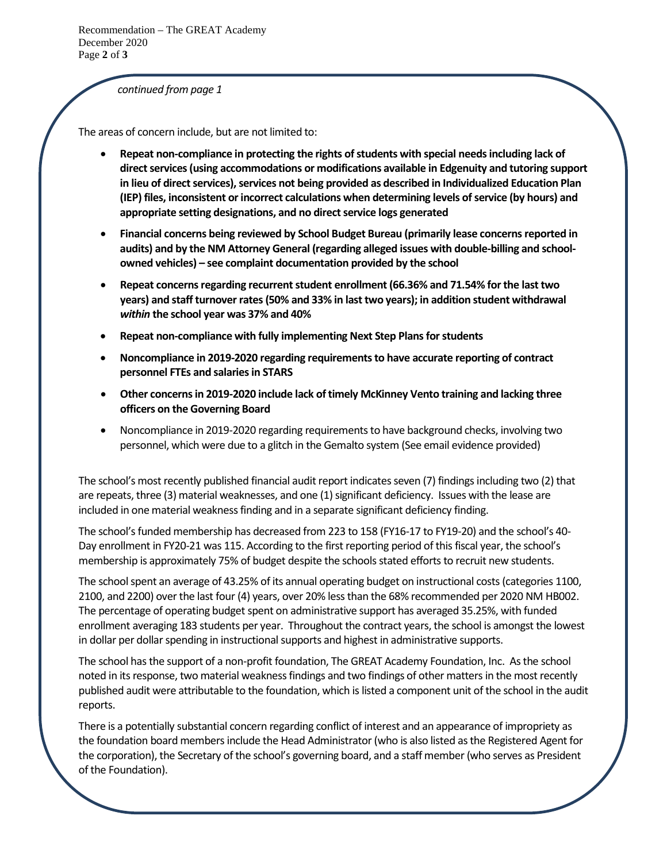Recommendation – The GREAT Academy December 2020 Page **2** of **3**

*continued from page 1*

The areas of concern include, but are not limited to:

- **Repeat non-compliance in protecting the rights of students with special needsincluding lack of direct services (using accommodations or modifications available in Edgenuity and tutoring support in lieu of direct services), services not being provided as described in Individualized Education Plan (IEP) files, inconsistent or incorrect calculations when determining levels of service (by hours) and appropriate setting designations, and no direct service logs generated**
- **Financial concerns being reviewed by School Budget Bureau (primarily lease concerns reported in audits) and by the NM Attorney General (regarding alleged issues with double-billing and schoolowned vehicles) – see complaint documentation provided by the school**
- **Repeat concerns regarding recurrent student enrollment (66.36% and 71.54% for the last two years) and staff turnover rates (50% and 33% in last two years); in addition student withdrawal**  *within* **the school year was 37% and 40%**
- **Repeat non-compliance with fully implementing Next Step Plans for students**
- **Noncompliance in 2019-2020 regarding requirements to have accurate reporting of contract personnel FTEs and salaries in STARS**
- **Other concerns in 2019-2020 include lack of timely McKinney Vento training and lacking three officers on the Governing Board**
- Noncompliance in 2019-2020 regarding requirements to have background checks, involving two personnel, which were due to a glitch in the Gemalto system (See email evidence provided)

The school's most recently published financial audit report indicates seven (7) findings including two (2) that are repeats, three (3) material weaknesses, and one (1) significant deficiency. Issues with the lease are included in one material weakness finding and in a separate significant deficiency finding.

The school's funded membership has decreased from 223 to 158 (FY16-17 to FY19-20) and the school's 40- Day enrollment in FY20-21 was 115. According to the first reporting period of this fiscal year, the school's membership is approximately 75% of budget despite the schools stated efforts to recruit new students.

The school spent an average of 43.25% of its annual operating budget on instructional costs (categories 1100, 2100, and 2200) over the last four (4) years, over 20% lessthan the 68% recommended per 2020 NM HB002. The percentage of operating budget spent on administrative support has averaged 35.25%, with funded enrollment averaging 183 students per year. Throughout the contract years, the school is amongst the lowest in dollar per dollar spending in instructional supports and highest in administrative supports.

The school has the support of a non-profit foundation, The GREAT Academy Foundation, Inc. As the school noted in its response, two material weakness findings and two findings of other matters in the most recently published audit were attributable to the foundation, which is listed a component unit of the school in the audit reports.

There is a potentially substantial concern regarding conflict of interest and an appearance of impropriety as the foundation board members include the Head Administrator(who is also listed as the Registered Agent for the corporation), the Secretary of the school's governing board, and a staff member (who serves as President of the Foundation).